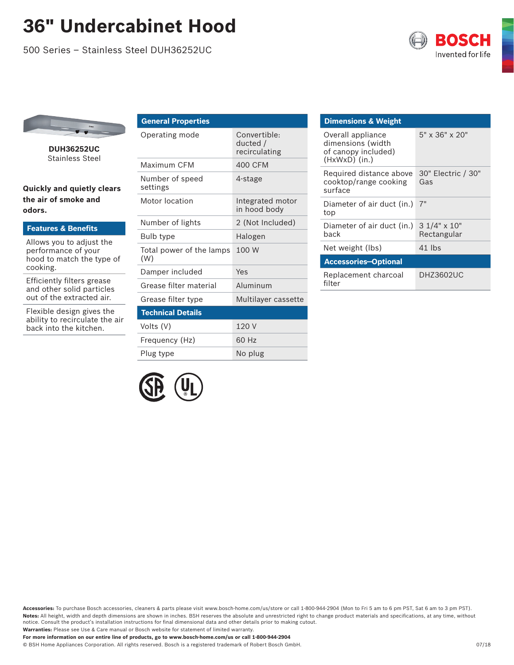## **36" Undercabinet Hood**

500 Series – Stainless Steel DUH36252UC





**DUH36252UC**  Stainless Steel

**Quickly and quietly clears the air of smoke and odors.**

| <b>Features &amp; Benefits</b>                                                           |            |
|------------------------------------------------------------------------------------------|------------|
|                                                                                          | Bul        |
| Allows you to adjust the<br>performance of your<br>hood to match the type of<br>cooking. | Tot<br>(W) |
| Efficiently filters grease<br>and other solid particles<br>out of the extracted air.     | Dar        |
|                                                                                          | Gre        |
|                                                                                          | Gre        |
|                                                                                          |            |

Flexible design gives the ability to recirculate the air back into the kitchen.

| <b>General Properties</b>       |                                           |  |
|---------------------------------|-------------------------------------------|--|
| Operating mode                  | Convertible:<br>ducted /<br>recirculating |  |
| Maximum CFM                     | 400 CFM                                   |  |
| Number of speed<br>settings     | 4-stage                                   |  |
| Motor location                  | Integrated motor<br>in hood body          |  |
| Number of lights                | 2 (Not Included)                          |  |
| Bulb type                       | Halogen                                   |  |
| Total power of the lamps<br>(W) | 100 W                                     |  |
| Damper included                 | Yes                                       |  |
| Grease filter material          | Aluminum                                  |  |
| Grease filter type              | Multilayer cassette                       |  |
| <b>Technical Details</b>        |                                           |  |
| Volts (V)                       | 120 V                                     |  |
| Frequency (Hz)                  | 60 Hz                                     |  |
| Plug type                       | No plug                                   |  |

| <b>Dimensions &amp; Weight</b>                                                   |                                   |  |
|----------------------------------------------------------------------------------|-----------------------------------|--|
| Overall appliance<br>dimensions (width<br>of canopy included)<br>$(HxWxD)$ (in.) | 5" x 36" x 20"                    |  |
| Required distance above<br>cooktop/range cooking<br>surface                      | 30" Electric / 30"<br>Gas         |  |
| Diameter of air duct (in.)<br>top                                                | 7"                                |  |
| Diameter of air duct (in.)<br>back                                               | $31/4" \times 10"$<br>Rectangular |  |
| Net weight (lbs)                                                                 | $41$ lbs                          |  |
| <b>Accessories-Optional</b>                                                      |                                   |  |
| Replacement charcoal<br>filter                                                   | <b>DHZ3602UC</b>                  |  |



**Accessories:** To purchase Bosch accessories, cleaners & parts please visit www.bosch-home.com/us/store or call 1-800-944-2904 (Mon to Fri 5 am to 6 pm PST, Sat 6 am to 3 pm PST). **Notes:** All height, width and depth dimensions are shown in inches. BSH reserves the absolute and unrestricted right to change product materials and specifications, at any time, without notice. Consult the product's installation instructions for final dimensional data and other details prior to making cutout. **Warranties:** Please see Use & Care manual or Bosch website for statement of limited warranty.

**For more information on our entire line of products, go to www.bosch-home.com/us or call 1-800-944-2904**

© BSH Home Appliances Corporation. All rights reserved. Bosch is a registered trademark of Robert Bosch GmbH. 07/18